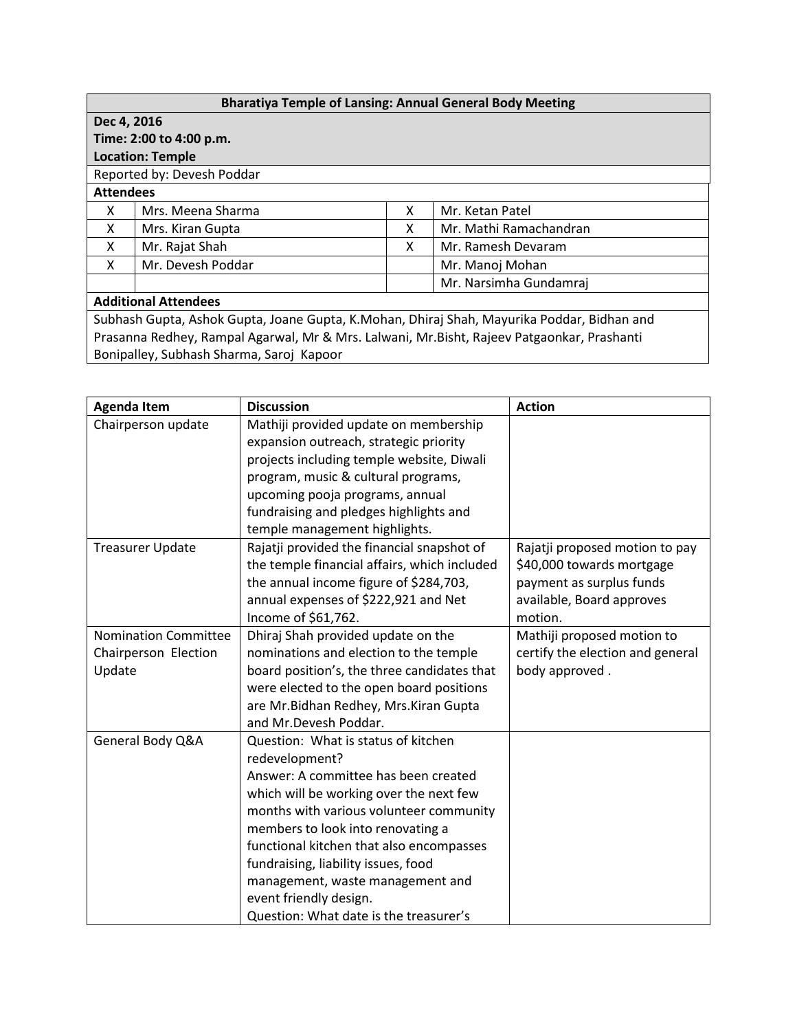| <b>Bharatiya Temple of Lansing: Annual General Body Meeting</b>                            |                   |   |                        |  |  |  |
|--------------------------------------------------------------------------------------------|-------------------|---|------------------------|--|--|--|
| Dec 4, 2016                                                                                |                   |   |                        |  |  |  |
| Time: 2:00 to 4:00 p.m.                                                                    |                   |   |                        |  |  |  |
| <b>Location: Temple</b>                                                                    |                   |   |                        |  |  |  |
| Reported by: Devesh Poddar                                                                 |                   |   |                        |  |  |  |
| <b>Attendees</b>                                                                           |                   |   |                        |  |  |  |
| x                                                                                          | Mrs. Meena Sharma | x | Mr. Ketan Patel        |  |  |  |
| X                                                                                          | Mrs. Kiran Gupta  | X | Mr. Mathi Ramachandran |  |  |  |
| X                                                                                          | Mr. Rajat Shah    | X | Mr. Ramesh Devaram     |  |  |  |
| X                                                                                          | Mr. Devesh Poddar |   | Mr. Manoj Mohan        |  |  |  |
|                                                                                            |                   |   | Mr. Narsimha Gundamraj |  |  |  |
| <b>Additional Attendees</b>                                                                |                   |   |                        |  |  |  |
| Subhash Gupta, Ashok Gupta, Joane Gupta, K.Mohan, Dhiraj Shah, Mayurika Poddar, Bidhan and |                   |   |                        |  |  |  |
| Prasanna Redhey, Rampal Agarwal, Mr & Mrs. Lalwani, Mr.Bisht, Rajeev Patgaonkar, Prashanti |                   |   |                        |  |  |  |

Bonipalley, Subhash Sharma, Saroj Kapoor

| <b>Agenda Item</b>          | <b>Discussion</b>                            | <b>Action</b>                    |
|-----------------------------|----------------------------------------------|----------------------------------|
| Chairperson update          | Mathiji provided update on membership        |                                  |
|                             | expansion outreach, strategic priority       |                                  |
|                             | projects including temple website, Diwali    |                                  |
|                             | program, music & cultural programs,          |                                  |
|                             | upcoming pooja programs, annual              |                                  |
|                             | fundraising and pledges highlights and       |                                  |
|                             | temple management highlights.                |                                  |
| <b>Treasurer Update</b>     | Rajatji provided the financial snapshot of   | Rajatji proposed motion to pay   |
|                             | the temple financial affairs, which included | \$40,000 towards mortgage        |
|                             | the annual income figure of \$284,703,       | payment as surplus funds         |
|                             | annual expenses of \$222,921 and Net         | available, Board approves        |
|                             | Income of \$61,762.                          | motion.                          |
| <b>Nomination Committee</b> | Dhiraj Shah provided update on the           | Mathiji proposed motion to       |
| Chairperson Election        | nominations and election to the temple       | certify the election and general |
| Update                      | board position's, the three candidates that  | body approved.                   |
|                             | were elected to the open board positions     |                                  |
|                             | are Mr. Bidhan Redhey, Mrs. Kiran Gupta      |                                  |
|                             | and Mr.Devesh Poddar.                        |                                  |
| General Body Q&A            | Question: What is status of kitchen          |                                  |
|                             | redevelopment?                               |                                  |
|                             | Answer: A committee has been created         |                                  |
|                             | which will be working over the next few      |                                  |
|                             | months with various volunteer community      |                                  |
|                             | members to look into renovating a            |                                  |
|                             | functional kitchen that also encompasses     |                                  |
|                             | fundraising, liability issues, food          |                                  |
|                             | management, waste management and             |                                  |
|                             | event friendly design.                       |                                  |
|                             | Question: What date is the treasurer's       |                                  |